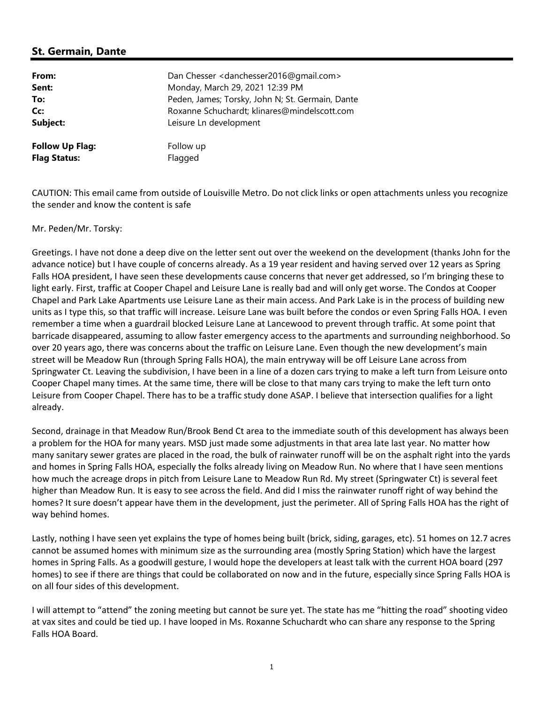## St. Germain, Dante

| From:                  | Dan Chesser <danchesser2016@gmail.com></danchesser2016@gmail.com> |
|------------------------|-------------------------------------------------------------------|
| Sent:                  | Monday, March 29, 2021 12:39 PM                                   |
| To:                    | Peden, James; Torsky, John N; St. Germain, Dante                  |
| Cc:                    | Roxanne Schuchardt; klinares@mindelscott.com                      |
| Subject:               | Leisure Ln development                                            |
| <b>Follow Up Flag:</b> | Follow up                                                         |
| <b>Flag Status:</b>    | Flagged                                                           |

CAUTION: This email came from outside of Louisville Metro. Do not click links or open attachments unless you recognize the sender and know the content is safe

Mr. Peden/Mr. Torsky:

Greetings. I have not done a deep dive on the letter sent out over the weekend on the development (thanks John for the advance notice) but I have couple of concerns already. As a 19 year resident and having served over 12 years as Spring Falls HOA president, I have seen these developments cause concerns that never get addressed, so I'm bringing these to light early. First, traffic at Cooper Chapel and Leisure Lane is really bad and will only get worse. The Condos at Cooper Chapel and Park Lake Apartments use Leisure Lane as their main access. And Park Lake is in the process of building new units as I type this, so that traffic will increase. Leisure Lane was built before the condos or even Spring Falls HOA. I even remember a time when a guardrail blocked Leisure Lane at Lancewood to prevent through traffic. At some point that barricade disappeared, assuming to allow faster emergency access to the apartments and surrounding neighborhood. So over 20 years ago, there was concerns about the traffic on Leisure Lane. Even though the new development's main street will be Meadow Run (through Spring Falls HOA), the main entryway will be off Leisure Lane across from Springwater Ct. Leaving the subdivision, I have been in a line of a dozen cars trying to make a left turn from Leisure onto Cooper Chapel many times. At the same time, there will be close to that many cars trying to make the left turn onto Leisure from Cooper Chapel. There has to be a traffic study done ASAP. I believe that intersection qualifies for a light already.

Second, drainage in that Meadow Run/Brook Bend Ct area to the immediate south of this development has always been a problem for the HOA for many years. MSD just made some adjustments in that area late last year. No matter how many sanitary sewer grates are placed in the road, the bulk of rainwater runoff will be on the asphalt right into the yards and homes in Spring Falls HOA, especially the folks already living on Meadow Run. No where that I have seen mentions how much the acreage drops in pitch from Leisure Lane to Meadow Run Rd. My street (Springwater Ct) is several feet higher than Meadow Run. It is easy to see across the field. And did I miss the rainwater runoff right of way behind the homes? It sure doesn't appear have them in the development, just the perimeter. All of Spring Falls HOA has the right of way behind homes.

Lastly, nothing I have seen yet explains the type of homes being built (brick, siding, garages, etc). 51 homes on 12.7 acres cannot be assumed homes with minimum size as the surrounding area (mostly Spring Station) which have the largest homes in Spring Falls. As a goodwill gesture, I would hope the developers at least talk with the current HOA board (297 homes) to see if there are things that could be collaborated on now and in the future, especially since Spring Falls HOA is on all four sides of this development.

I will attempt to "attend" the zoning meeting but cannot be sure yet. The state has me "hitting the road" shooting video at vax sites and could be tied up. I have looped in Ms. Roxanne Schuchardt who can share any response to the Spring Falls HOA Board.